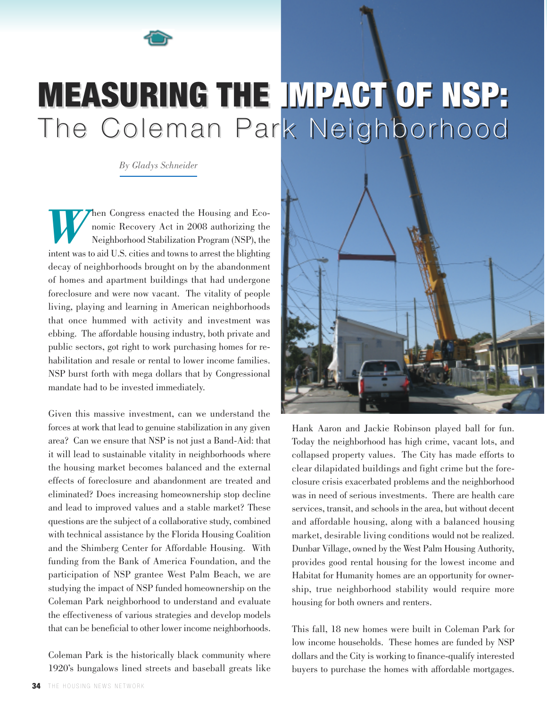

## MEASURING THE IMPACT OF NSP: The Coleman Park Neighborhood

*By Gladys Schneider*

hen Congress enacted the Housing and Economic Recovery Act in 2008 authorizing the Neighborhood Stabilization Program (NSP), the intent was to aid U.S. cities and towns to arrest the blighting decay of neighborhoods brought on by the abandonment of homes and apartment buildings that had undergone foreclosure and were now vacant. The vitality of people living, playing and learning in American neighborhoods that once hummed with activity and investment was ebbing. The affordable housing industry, both private and public sectors, got right to work purchasing homes for rehabilitation and resale or rental to lower income families. NSP burst forth with mega dollars that by Congressional mandate had to be invested immediately.

Given this massive investment, can we understand the forces at work that lead to genuine stabilization in any given area? Can we ensure that NSP is not just a Band-Aid: that it will lead to sustainable vitality in neighborhoods where the housing market becomes balanced and the external effects of foreclosure and abandonment are treated and eliminated? Does increasing homeownership stop decline and lead to improved values and a stable market? These questions are the subject of a collaborative study, combined with technical assistance by the Florida Housing Coalition and the Shimberg Center for Affordable Housing. With funding from the Bank of America Foundation, and the participation of NSP grantee West Palm Beach, we are studying the impact of NSP funded homeownership on the Coleman Park neighborhood to understand and evaluate the effectiveness of various strategies and develop models that can be beneficial to other lower income neighborhoods.

Coleman Park is the historically black community where 1920's bungalows lined streets and baseball greats like



Hank Aaron and Jackie Robinson played ball for fun. Today the neighborhood has high crime, vacant lots, and collapsed property values. The City has made efforts to clear dilapidated buildings and fight crime but the foreclosure crisis exacerbated problems and the neighborhood was in need of serious investments. There are health care services, transit, and schools in the area, but without decent and affordable housing, along with a balanced housing market, desirable living conditions would not be realized. Dunbar Village, owned by the West Palm Housing Authority, provides good rental housing for the lowest income and Habitat for Humanity homes are an opportunity for ownership, true neighborhood stability would require more housing for both owners and renters.

This fall, 18 new homes were built in Coleman Park for low income households. These homes are funded by NSP dollars and the City is working to finance-qualify interested buyers to purchase the homes with affordable mortgages.